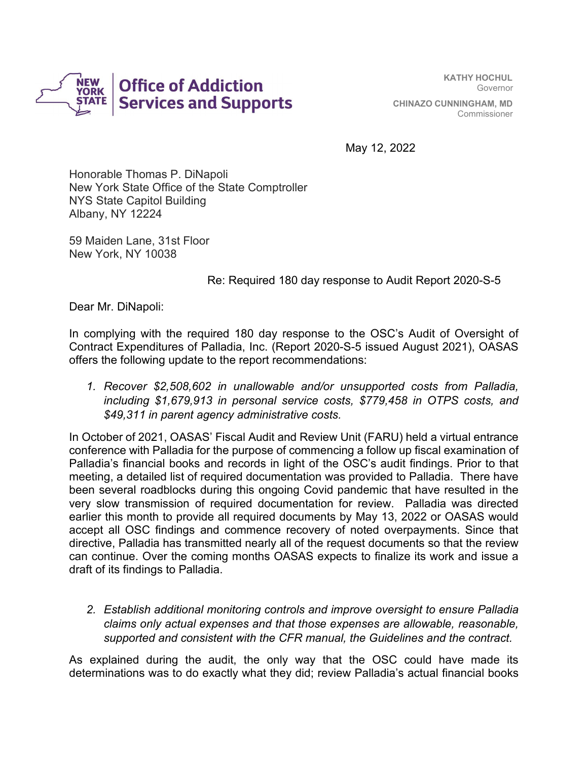

**KATHY HOCHUL** Governor **CHINAZO CUNNINGHAM, MD** Commissioner

May 12, 2022

Honorable Thomas P. DiNapoli New York State Office of the State Comptroller NYS State Capitol Building Albany, NY 12224

59 Maiden Lane, 31st Floor New York, NY 10038

## Re: Required 180 day response to Audit Report 2020-S-5

Dear Mr. DiNapoli:

In complying with the required 180 day response to the OSC's Audit of Oversight of Contract Expenditures of Palladia, Inc. (Report 2020-S-5 issued August 2021), OASAS offers the following update to the report recommendations:

*1. Recover \$2,508,602 in unallowable and/or unsupported costs from Palladia, including \$1,679,913 in personal service costs, \$779,458 in OTPS costs, and \$49,311 in parent agency administrative costs.* 

In October of 2021, OASAS' Fiscal Audit and Review Unit (FARU) held a virtual entrance conference with Palladia for the purpose of commencing a follow up fiscal examination of Palladia's financial books and records in light of the OSC's audit findings. Prior to that meeting, a detailed list of required documentation was provided to Palladia. There have been several roadblocks during this ongoing Covid pandemic that have resulted in the very slow transmission of required documentation for review. Palladia was directed earlier this month to provide all required documents by May 13, 2022 or OASAS would accept all OSC findings and commence recovery of noted overpayments. Since that directive, Palladia has transmitted nearly all of the request documents so that the review can continue. Over the coming months OASAS expects to finalize its work and issue a draft of its findings to Palladia.

*2. Establish additional monitoring controls and improve oversight to ensure Palladia claims only actual expenses and that those expenses are allowable, reasonable, supported and consistent with the CFR manual, the Guidelines and the contract.* 

As explained during the audit, the only way that the OSC could have made its determinations was to do exactly what they did; review Palladia's actual financial books